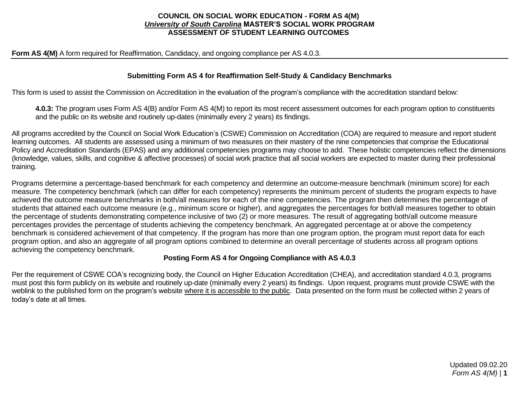### **COUNCIL ON SOCIAL WORK EDUCATION - FORM AS 4(M)** *University of South Carolina* **MASTER'S SOCIAL WORK PROGRAM ASSESSMENT OF STUDENT LEARNING OUTCOMES**

#### **Form AS 4(M)** A form required for Reaffirmation, Candidacy, and ongoing compliance per AS 4.0.3.

### **Submitting Form AS 4 for Reaffirmation Self-Study & Candidacy Benchmarks**

This form is used to assist the Commission on Accreditation in the evaluation of the program's compliance with the accreditation standard below:

**4.0.3:** The program uses Form AS 4(B) and/or Form AS 4(M) to report its most recent assessment outcomes for each program option to constituents and the public on its website and routinely up-dates (minimally every 2 years) its findings.

All programs accredited by the Council on Social Work Education's (CSWE) Commission on Accreditation (COA) are required to measure and report student learning outcomes. All students are assessed using a minimum of two measures on their mastery of the nine competencies that comprise the Educational Policy and Accreditation Standards (EPAS) and any additional competencies programs may choose to add. These holistic competencies reflect the dimensions (knowledge, values, skills, and cognitive & affective processes) of social work practice that all social workers are expected to master during their professional training.

Programs determine a percentage-based benchmark for each competency and determine an outcome-measure benchmark (minimum score) for each measure. The competency benchmark (which can differ for each competency) represents the minimum percent of students the program expects to have achieved the outcome measure benchmarks in both/all measures for each of the nine competencies. The program then determines the percentage of students that attained each outcome measure (e.g., minimum score or higher), and aggregates the percentages for both/all measures together to obtain the percentage of students demonstrating competence inclusive of two (2) or more measures. The result of aggregating both/all outcome measure percentages provides the percentage of students achieving the competency benchmark. An aggregated percentage at or above the competency benchmark is considered achievement of that competency. If the program has more than one program option, the program must report data for each program option, and also an aggregate of all program options combined to determine an overall percentage of students across all program options achieving the competency benchmark.

#### **Posting Form AS 4 for Ongoing Compliance with AS 4.0.3**

Per the requirement of CSWE COA's recognizing body, the Council on Higher Education Accreditation (CHEA), and accreditation standard 4.0.3, programs must post this form publicly on its website and routinely up-date (minimally every 2 years) its findings. Upon request, programs must provide CSWE with the weblink to the published form on the program's website where it is accessible to the public. Data presented on the form must be collected within 2 years of today's date at all times.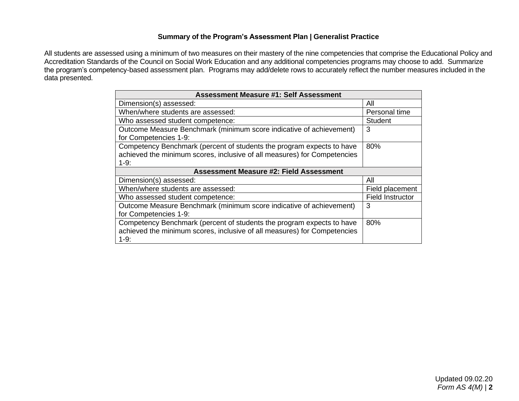## **Summary of the Program's Assessment Plan | Generalist Practice**

All students are assessed using a minimum of two measures on their mastery of the nine competencies that comprise the Educational Policy and Accreditation Standards of the Council on Social Work Education and any additional competencies programs may choose to add. Summarize the program's competency-based assessment plan. Programs may add/delete rows to accurately reflect the number measures included in the data presented.

| <b>Assessment Measure #1: Self Assessment</b>                                                                                                               |                  |  |  |  |  |  |  |  |
|-------------------------------------------------------------------------------------------------------------------------------------------------------------|------------------|--|--|--|--|--|--|--|
| Dimension(s) assessed:                                                                                                                                      | All              |  |  |  |  |  |  |  |
| When/where students are assessed:                                                                                                                           | Personal time    |  |  |  |  |  |  |  |
| Who assessed student competence:                                                                                                                            | Student          |  |  |  |  |  |  |  |
| Outcome Measure Benchmark (minimum score indicative of achievement)<br>for Competencies 1-9:                                                                | 3                |  |  |  |  |  |  |  |
| Competency Benchmark (percent of students the program expects to have<br>achieved the minimum scores, inclusive of all measures) for Competencies<br>$1-9:$ | 80%              |  |  |  |  |  |  |  |
| <b>Assessment Measure #2: Field Assessment</b>                                                                                                              |                  |  |  |  |  |  |  |  |
| Dimension(s) assessed:                                                                                                                                      | All              |  |  |  |  |  |  |  |
| When/where students are assessed:                                                                                                                           | Field placement  |  |  |  |  |  |  |  |
| Who assessed student competence:                                                                                                                            | Field Instructor |  |  |  |  |  |  |  |
| Outcome Measure Benchmark (minimum score indicative of achievement)<br>for Competencies 1-9:                                                                | 3                |  |  |  |  |  |  |  |
| Competency Benchmark (percent of students the program expects to have<br>achieved the minimum scores, inclusive of all measures) for Competencies<br>$1-9:$ | 80%              |  |  |  |  |  |  |  |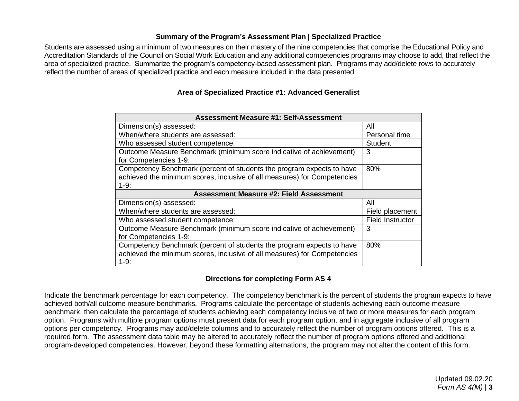## **Summary of the Program's Assessment Plan | Specialized Practice**

Students are assessed using a minimum of two measures on their mastery of the nine competencies that comprise the Educational Policy and Accreditation Standards of the Council on Social Work Education and any additional competencies programs may choose to add, that reflect the area of specialized practice. Summarize the program's competency-based assessment plan. Programs may add/delete rows to accurately reflect the number of areas of specialized practice and each measure included in the data presented.

## **Area of Specialized Practice #1: Advanced Generalist**

| <b>Assessment Measure #1: Self-Assessment</b>                                                                                                               |                         |
|-------------------------------------------------------------------------------------------------------------------------------------------------------------|-------------------------|
| Dimension(s) assessed:                                                                                                                                      | All                     |
| When/where students are assessed:                                                                                                                           | Personal time           |
| Who assessed student competence:                                                                                                                            | <b>Student</b>          |
| Outcome Measure Benchmark (minimum score indicative of achievement)<br>for Competencies 1-9:                                                                | 3                       |
| Competency Benchmark (percent of students the program expects to have<br>achieved the minimum scores, inclusive of all measures) for Competencies<br>$1-9:$ | 80%                     |
| <b>Assessment Measure #2: Field Assessment</b>                                                                                                              |                         |
|                                                                                                                                                             |                         |
| Dimension(s) assessed:                                                                                                                                      | All                     |
| When/where students are assessed:                                                                                                                           | Field placement         |
| Who assessed student competence:                                                                                                                            | <b>Field Instructor</b> |
| Outcome Measure Benchmark (minimum score indicative of achievement)<br>for Competencies 1-9:                                                                | 3                       |

# **Directions for completing Form AS 4**

Indicate the benchmark percentage for each competency. The competency benchmark is the percent of students the program expects to have achieved both/all outcome measure benchmarks. Programs calculate the percentage of students achieving each outcome measure benchmark, then calculate the percentage of students achieving each competency inclusive of two or more measures for each program option. Programs with multiple program options must present data for each program option, and in aggregate inclusive of all program options per competency. Programs may add/delete columns and to accurately reflect the number of program options offered. This is a required form. The assessment data table may be altered to accurately reflect the number of program options offered and additional program-developed competencies. However, beyond these formatting alternations, the program may not alter the content of this form.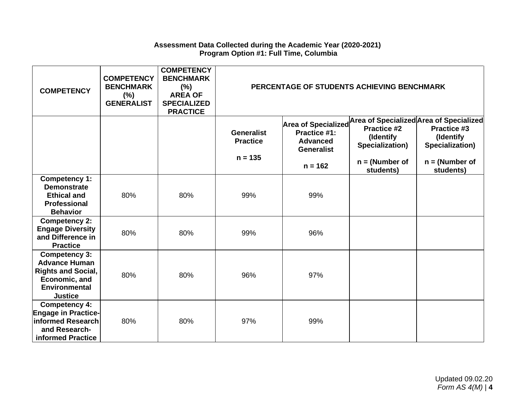### **Assessment Data Collected during the Academic Year (2020-2021) Program Option #1: Full Time, Columbia**

| <b>COMPETENCY</b>                                                                                                                    | <b>COMPETENCY</b><br><b>BENCHMARK</b><br>$(\%)$<br><b>GENERALIST</b> | <b>COMPETENCY</b><br><b>BENCHMARK</b><br>(%)<br><b>AREA OF</b><br><b>SPECIALIZED</b><br><b>PRACTICE</b> |                                                   | PERCENTAGE OF STUDENTS ACHIEVING BENCHMARK                                               |                                                                                     |                                                                                                                         |
|--------------------------------------------------------------------------------------------------------------------------------------|----------------------------------------------------------------------|---------------------------------------------------------------------------------------------------------|---------------------------------------------------|------------------------------------------------------------------------------------------|-------------------------------------------------------------------------------------|-------------------------------------------------------------------------------------------------------------------------|
|                                                                                                                                      |                                                                      |                                                                                                         | <b>Generalist</b><br><b>Practice</b><br>$n = 135$ | Area of Specialized<br>Practice #1:<br><b>Advanced</b><br><b>Generalist</b><br>$n = 162$ | <b>Practice #2</b><br>(Identify<br>Specialization)<br>$n = (Number of$<br>students) | Area of Specialized Area of Specialized<br>Practice #3<br>(Identify<br>Specialization)<br>$n = (Number of$<br>students) |
| <b>Competency 1:</b><br><b>Demonstrate</b><br><b>Ethical and</b><br>Professional<br><b>Behavior</b>                                  | 80%                                                                  | 80%                                                                                                     | 99%                                               | 99%                                                                                      |                                                                                     |                                                                                                                         |
| <b>Competency 2:</b><br><b>Engage Diversity</b><br>and Difference in<br><b>Practice</b>                                              | 80%                                                                  | 80%                                                                                                     | 99%                                               | 96%                                                                                      |                                                                                     |                                                                                                                         |
| <b>Competency 3:</b><br><b>Advance Human</b><br><b>Rights and Social,</b><br>Economic, and<br><b>Environmental</b><br><b>Justice</b> | 80%                                                                  | 80%                                                                                                     | 96%                                               | 97%                                                                                      |                                                                                     |                                                                                                                         |
| <b>Competency 4:</b><br><b>Engage in Practice-</b><br>informed Research<br>and Research-<br>informed Practice                        | 80%                                                                  | 80%                                                                                                     | 97%                                               | 99%                                                                                      |                                                                                     |                                                                                                                         |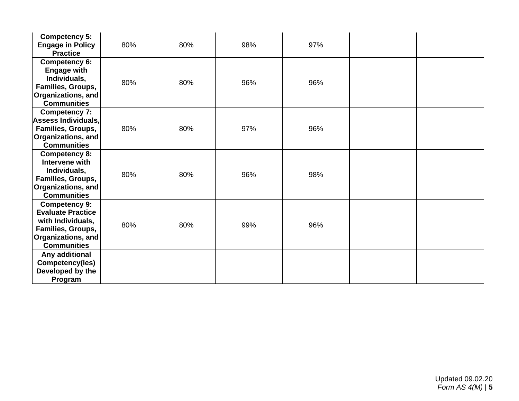| <b>Competency 5:</b><br><b>Engage in Policy</b><br><b>Practice</b>                                                                     | 80% | 80% | 98% | 97% |  |
|----------------------------------------------------------------------------------------------------------------------------------------|-----|-----|-----|-----|--|
| <b>Competency 6:</b><br><b>Engage with</b><br>Individuals,<br>Families, Groups,<br><b>Organizations, and</b><br><b>Communities</b>     | 80% | 80% | 96% | 96% |  |
| <b>Competency 7:</b><br>Assess Individuals,<br>Families, Groups,<br><b>Organizations, and</b><br><b>Communities</b>                    | 80% | 80% | 97% | 96% |  |
| <b>Competency 8:</b><br>Intervene with<br>Individuals,<br>Families, Groups,<br><b>Organizations, and</b><br><b>Communities</b>         | 80% | 80% | 96% | 98% |  |
| <b>Competency 9:</b><br><b>Evaluate Practice</b><br>with Individuals,<br>Families, Groups,<br>Organizations, and<br><b>Communities</b> | 80% | 80% | 99% | 96% |  |
| Any additional<br>Competency(ies)<br>Developed by the<br>Program                                                                       |     |     |     |     |  |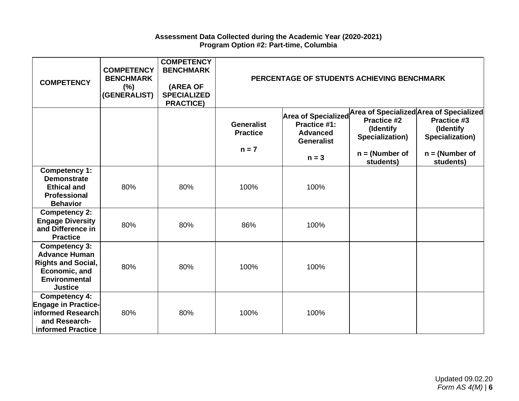### **Assessment Data Collected during the Academic Year (2020-2021) Program Option #2: Part-time, Columbia**

| <b>COMPETENCY</b>                                                                                                                    | <b>COMPETENCY</b><br><b>BENCHMARK</b><br>(%)<br>(GENERALIST) | <b>COMPETENCY</b><br><b>BENCHMARK</b><br>(AREA OF<br><b>SPECIALIZED</b><br><b>PRACTICE)</b> |                                                 | PERCENTAGE OF STUDENTS ACHIEVING BENCHMARK                                  |                                                                 |                                                                                                                   |
|--------------------------------------------------------------------------------------------------------------------------------------|--------------------------------------------------------------|---------------------------------------------------------------------------------------------|-------------------------------------------------|-----------------------------------------------------------------------------|-----------------------------------------------------------------|-------------------------------------------------------------------------------------------------------------------|
|                                                                                                                                      |                                                              |                                                                                             | <b>Generalist</b><br><b>Practice</b><br>$n = 7$ | Area of Specialized<br>Practice #1:<br><b>Advanced</b><br><b>Generalist</b> | Practice #2<br>(Identify<br>Specialization)<br>$n = (Number of$ | Area of Specialized Area of Specialized<br><b>Practice #3</b><br>(Identify<br>Specialization)<br>$n = (Number of$ |
|                                                                                                                                      |                                                              |                                                                                             |                                                 | $n = 3$                                                                     | students)                                                       | students)                                                                                                         |
| <b>Competency 1:</b><br><b>Demonstrate</b><br><b>Ethical and</b><br><b>Professional</b><br><b>Behavior</b>                           | 80%                                                          | 80%                                                                                         | 100%                                            | 100%                                                                        |                                                                 |                                                                                                                   |
| <b>Competency 2:</b><br><b>Engage Diversity</b><br>and Difference in<br><b>Practice</b>                                              | 80%                                                          | 80%                                                                                         | 86%                                             | 100%                                                                        |                                                                 |                                                                                                                   |
| <b>Competency 3:</b><br><b>Advance Human</b><br><b>Rights and Social,</b><br>Economic, and<br><b>Environmental</b><br><b>Justice</b> | 80%                                                          | 80%                                                                                         | 100%                                            | 100%                                                                        |                                                                 |                                                                                                                   |
| Competency 4:<br><b>Engage in Practice-</b><br>informed Research<br>and Research-<br>informed Practice                               | 80%                                                          | 80%                                                                                         | 100%                                            | 100%                                                                        |                                                                 |                                                                                                                   |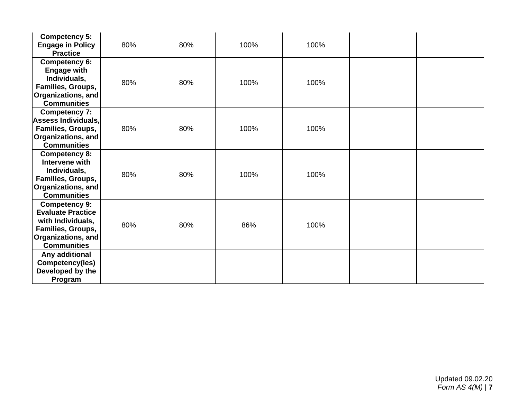| <b>Competency 5:</b><br><b>Engage in Policy</b><br><b>Practice</b>                                                                     | 80% | 80% | 100% | 100% |  |
|----------------------------------------------------------------------------------------------------------------------------------------|-----|-----|------|------|--|
| <b>Competency 6:</b><br><b>Engage with</b><br>Individuals,<br>Families, Groups,<br>Organizations, and<br><b>Communities</b>            | 80% | 80% | 100% | 100% |  |
| <b>Competency 7:</b><br>Assess Individuals,<br>Families, Groups,<br>Organizations, and<br><b>Communities</b>                           | 80% | 80% | 100% | 100% |  |
| <b>Competency 8:</b><br>Intervene with<br>Individuals,<br>Families, Groups,<br>Organizations, and<br><b>Communities</b>                | 80% | 80% | 100% | 100% |  |
| <b>Competency 9:</b><br><b>Evaluate Practice</b><br>with Individuals,<br>Families, Groups,<br>Organizations, and<br><b>Communities</b> | 80% | 80% | 86%  | 100% |  |
| Any additional<br>Competency(ies)<br>Developed by the<br>Program                                                                       |     |     |      |      |  |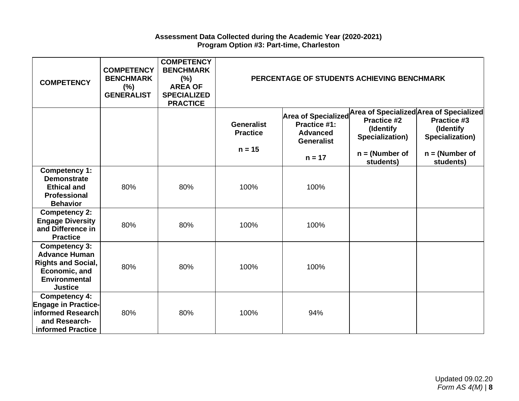### **Assessment Data Collected during the Academic Year (2020-2021) Program Option #3: Part-time, Charleston**

| <b>COMPETENCY</b>                                                                                                                    | <b>COMPETENCY</b><br><b>BENCHMARK</b><br>$(\% )$<br><b>GENERALIST</b> | <b>COMPETENCY</b><br><b>BENCHMARK</b><br>$(\%)$<br><b>AREA OF</b><br><b>SPECIALIZED</b><br><b>PRACTICE</b> |                                                  | PERCENTAGE OF STUDENTS ACHIEVING BENCHMARK                                                     |                                                                                                            |                                                                 |
|--------------------------------------------------------------------------------------------------------------------------------------|-----------------------------------------------------------------------|------------------------------------------------------------------------------------------------------------|--------------------------------------------------|------------------------------------------------------------------------------------------------|------------------------------------------------------------------------------------------------------------|-----------------------------------------------------------------|
|                                                                                                                                      |                                                                       |                                                                                                            | <b>Generalist</b><br><b>Practice</b><br>$n = 15$ | <b>Area of Specialized</b><br>Practice #1:<br><b>Advanced</b><br><b>Generalist</b><br>$n = 17$ | Area of Specialized Area of Specialized<br>Practice #2<br>(Identify<br>Specialization)<br>$n = (Number of$ | Practice #3<br>(Identify<br>Specialization)<br>$n = (Number of$ |
| Competency 1:<br><b>Demonstrate</b><br><b>Ethical and</b><br><b>Professional</b><br><b>Behavior</b>                                  | 80%                                                                   | 80%                                                                                                        | 100%                                             | 100%                                                                                           | students)                                                                                                  | students)                                                       |
| <b>Competency 2:</b><br><b>Engage Diversity</b><br>and Difference in<br><b>Practice</b>                                              | 80%                                                                   | 80%                                                                                                        | 100%                                             | 100%                                                                                           |                                                                                                            |                                                                 |
| <b>Competency 3:</b><br><b>Advance Human</b><br><b>Rights and Social,</b><br>Economic, and<br><b>Environmental</b><br><b>Justice</b> | 80%                                                                   | 80%                                                                                                        | 100%                                             | 100%                                                                                           |                                                                                                            |                                                                 |
| <b>Competency 4:</b><br><b>Engage in Practice-</b><br>informed Research<br>and Research-<br>informed Practice                        | 80%                                                                   | 80%                                                                                                        | 100%                                             | 94%                                                                                            |                                                                                                            |                                                                 |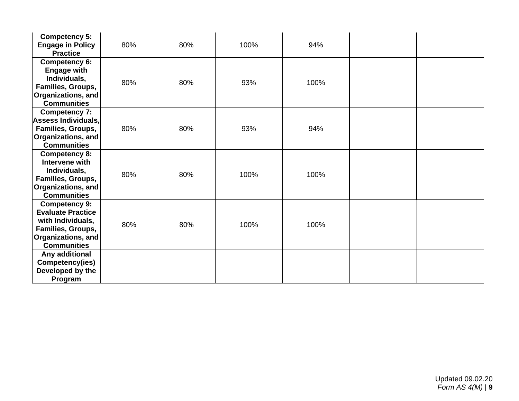| <b>Competency 5:</b><br><b>Engage in Policy</b><br><b>Practice</b>                                                                     | 80% | 80% | 100% | 94%  |  |
|----------------------------------------------------------------------------------------------------------------------------------------|-----|-----|------|------|--|
| <b>Competency 6:</b><br><b>Engage with</b><br>Individuals,<br>Families, Groups,<br>Organizations, and<br><b>Communities</b>            | 80% | 80% | 93%  | 100% |  |
| <b>Competency 7:</b><br>Assess Individuals,<br>Families, Groups,<br>Organizations, and<br><b>Communities</b>                           | 80% | 80% | 93%  | 94%  |  |
| <b>Competency 8:</b><br>Intervene with<br>Individuals,<br>Families, Groups,<br>Organizations, and<br><b>Communities</b>                | 80% | 80% | 100% | 100% |  |
| <b>Competency 9:</b><br><b>Evaluate Practice</b><br>with Individuals,<br>Families, Groups,<br>Organizations, and<br><b>Communities</b> | 80% | 80% | 100% | 100% |  |
| Any additional<br>Competency(ies)<br>Developed by the<br>Program                                                                       |     |     |      |      |  |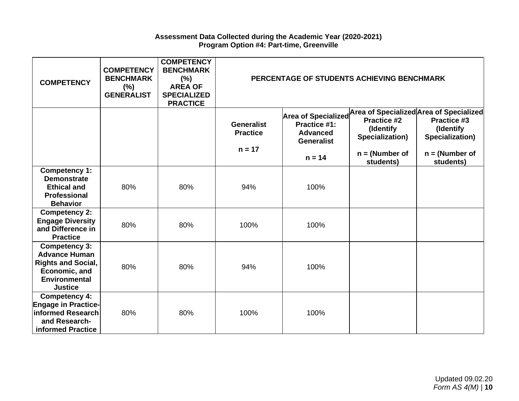### **Assessment Data Collected during the Academic Year (2020-2021) Program Option #4: Part-time, Greenville**

| <b>COMPETENCY</b>                                                                                                                    | <b>COMPETENCY</b><br><b>BENCHMARK</b><br>(%)<br><b>GENERALIST</b> | <b>COMPETENCY</b><br><b>BENCHMARK</b><br>$(\%)$<br><b>AREA OF</b><br><b>SPECIALIZED</b><br><b>PRACTICE</b> |                                                  | PERCENTAGE OF STUDENTS ACHIEVING BENCHMARK                                         |                                                                        |                                                                                                            |
|--------------------------------------------------------------------------------------------------------------------------------------|-------------------------------------------------------------------|------------------------------------------------------------------------------------------------------------|--------------------------------------------------|------------------------------------------------------------------------------------|------------------------------------------------------------------------|------------------------------------------------------------------------------------------------------------|
|                                                                                                                                      |                                                                   |                                                                                                            | <b>Generalist</b><br><b>Practice</b><br>$n = 17$ | <b>Area of Specialized</b><br>Practice #1:<br><b>Advanced</b><br><b>Generalist</b> | <b>Practice #2</b><br>(Identify<br>Specialization)<br>$n = (Number of$ | Area of Specialized Area of Specialized<br>Practice #3<br>(Identify<br>Specialization)<br>$n = (Number of$ |
|                                                                                                                                      |                                                                   |                                                                                                            |                                                  | $n = 14$                                                                           | students)                                                              | students)                                                                                                  |
| Competency 1:<br><b>Demonstrate</b><br><b>Ethical and</b><br>Professional<br><b>Behavior</b>                                         | 80%                                                               | 80%                                                                                                        | 94%                                              | 100%                                                                               |                                                                        |                                                                                                            |
| <b>Competency 2:</b><br><b>Engage Diversity</b><br>and Difference in<br><b>Practice</b>                                              | 80%                                                               | 80%                                                                                                        | 100%                                             | 100%                                                                               |                                                                        |                                                                                                            |
| <b>Competency 3:</b><br><b>Advance Human</b><br><b>Rights and Social,</b><br>Economic, and<br><b>Environmental</b><br><b>Justice</b> | 80%                                                               | 80%                                                                                                        | 94%                                              | 100%                                                                               |                                                                        |                                                                                                            |
| <b>Competency 4:</b><br><b>Engage in Practice-</b><br>informed Research<br>and Research-<br>informed Practice                        | 80%                                                               | 80%                                                                                                        | 100%                                             | 100%                                                                               |                                                                        |                                                                                                            |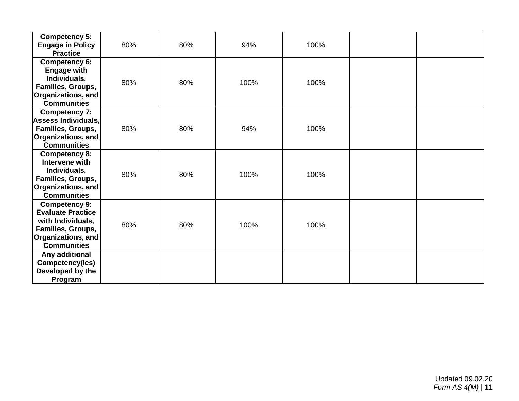| <b>Competency 5:</b><br><b>Engage in Policy</b><br><b>Practice</b>                                                                     | 80% | 80% | 94%  | 100% |  |
|----------------------------------------------------------------------------------------------------------------------------------------|-----|-----|------|------|--|
| <b>Competency 6:</b><br><b>Engage with</b><br>Individuals,<br>Families, Groups,<br><b>Organizations, and</b><br><b>Communities</b>     | 80% | 80% | 100% | 100% |  |
| <b>Competency 7:</b><br><b>Assess Individuals,</b><br>Families, Groups,<br>Organizations, and<br><b>Communities</b>                    | 80% | 80% | 94%  | 100% |  |
| <b>Competency 8:</b><br>Intervene with<br>Individuals,<br>Families, Groups,<br><b>Organizations, and</b><br><b>Communities</b>         | 80% | 80% | 100% | 100% |  |
| <b>Competency 9:</b><br><b>Evaluate Practice</b><br>with Individuals,<br>Families, Groups,<br>Organizations, and<br><b>Communities</b> | 80% | 80% | 100% | 100% |  |
| Any additional<br>Competency(ies)<br>Developed by the<br>Program                                                                       |     |     |      |      |  |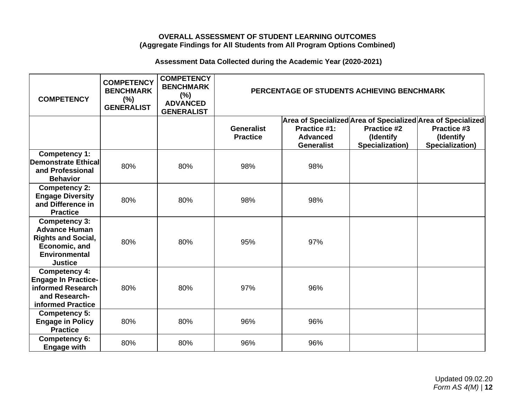## **OVERALL ASSESSMENT OF STUDENT LEARNING OUTCOMES (Aggregate Findings for All Students from All Program Options Combined)**

# **Assessment Data Collected during the Academic Year (2020-2021)**

| <b>COMPETENCY</b>                                                                                                             | <b>COMPETENCY</b><br><b>BENCHMARK</b><br>$(\%)$<br><b>GENERALIST</b> | <b>COMPETENCY</b><br><b>BENCHMARK</b><br>$(\%)$<br><b>ADVANCED</b><br><b>GENERALIST</b> |                                      |                                                      | PERCENTAGE OF STUDENTS ACHIEVING BENCHMARK                                                                        |                                             |
|-------------------------------------------------------------------------------------------------------------------------------|----------------------------------------------------------------------|-----------------------------------------------------------------------------------------|--------------------------------------|------------------------------------------------------|-------------------------------------------------------------------------------------------------------------------|---------------------------------------------|
|                                                                                                                               |                                                                      |                                                                                         | <b>Generalist</b><br><b>Practice</b> | Practice #1:<br><b>Advanced</b><br><b>Generalist</b> | Area of Specialized Area of Specialized Area of Specialized<br><b>Practice #2</b><br>(Identify<br>Specialization) | Practice #3<br>(Identify<br>Specialization) |
| <b>Competency 1:</b><br><b>Demonstrate Ethical</b><br>and Professional<br><b>Behavior</b>                                     | 80%                                                                  | 80%                                                                                     | 98%                                  | 98%                                                  |                                                                                                                   |                                             |
| <b>Competency 2:</b><br><b>Engage Diversity</b><br>and Difference in<br><b>Practice</b>                                       | 80%                                                                  | 80%                                                                                     | 98%                                  | 98%                                                  |                                                                                                                   |                                             |
| Competency 3:<br><b>Advance Human</b><br><b>Rights and Social,</b><br>Economic, and<br><b>Environmental</b><br><b>Justice</b> | 80%                                                                  | 80%                                                                                     | 95%                                  | 97%                                                  |                                                                                                                   |                                             |
| Competency 4:<br><b>Engage In Practice-</b><br>informed Research<br>and Research-<br>informed Practice                        | 80%                                                                  | 80%                                                                                     | 97%                                  | 96%                                                  |                                                                                                                   |                                             |
| <b>Competency 5:</b><br><b>Engage in Policy</b><br><b>Practice</b>                                                            | 80%                                                                  | 80%                                                                                     | 96%                                  | 96%                                                  |                                                                                                                   |                                             |
| <b>Competency 6:</b><br><b>Engage with</b>                                                                                    | 80%                                                                  | 80%                                                                                     | 96%                                  | 96%                                                  |                                                                                                                   |                                             |